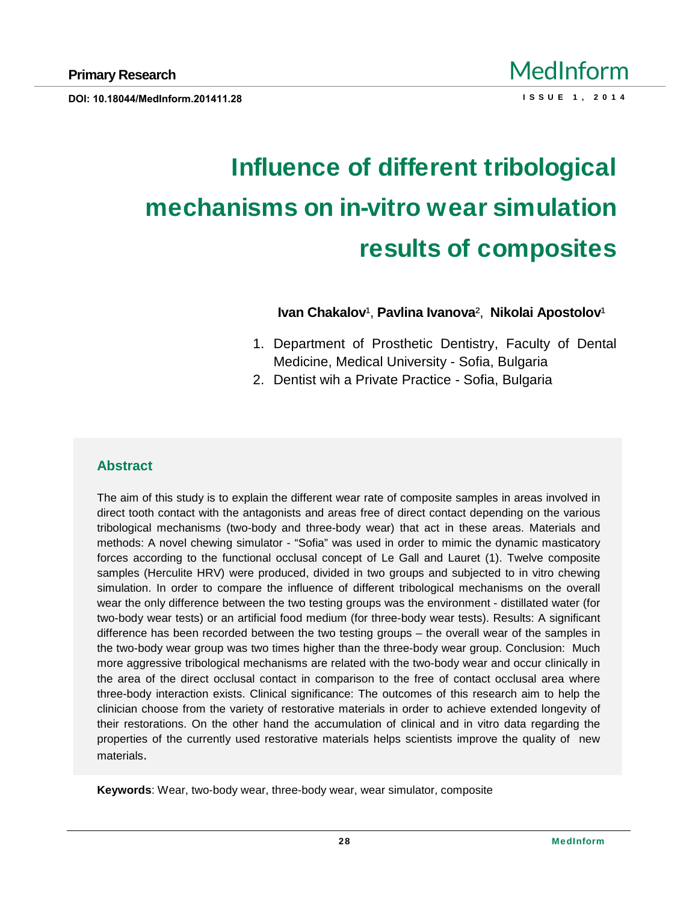# Influence of different tribological mechanisms on in -vitro wear simulation results of composites

Ivan Chakalov €,Pavlina Ivanova •, Nikolai Apostolov €

- 1. Department of Prosthetic Dentistry, Faculty of Dental Medicine, Medical University - Sofia, Bulgaria
- 2. Dentist wih a Private Practice Sofia, Bulgaria

## **Abstract**

The aim of this study is to explain the different wear rate of composite samples in areas involved in direct tooth contact with the antagonists and areas free of direct contact depending on the various tribological mechanisms (two-body and three-body wear) that act in these areas. Materials and methods: A novel chewing simulator - , Sofiaf was used in order to mimic the dynamic masticatory forces according to the functional occlusal concept of Le Gall and Lauret (1). Twelve composite samples (Herculite HRV) were produced, divided in two groups and subjected to in vitro chewing simulation. In order to compare the influence of different tribological mechanisms on the overall wear the only difference between the two testing groups was the environment - distillated water (for two-body wear tests) or an artificial food medium (for three-body wear tests). Results: A significant difference has been recorded between the two testing groups " the overall wear of the samples in the two-body wear group was two times higher than the three-body wear group. Conclusion: Much more aggressive tribological mechanisms are related with the two-body wear and occur clinically in the area of the direct occlusal contact in comparison to the free of contact occlusal area where three-body interaction exists. Clinical significance: The outcomes of this research aim to help the clinician choose from the variety of restorative materials in order to achieve extended longevity of their restorations. On the other hand the accumulation of clinical and in vitro data regarding the properties of the currently used restorative materials helps scientists improve the quality of new materials.

Keywords : Wear, two-body wear, three-body wear, wear simulator, composite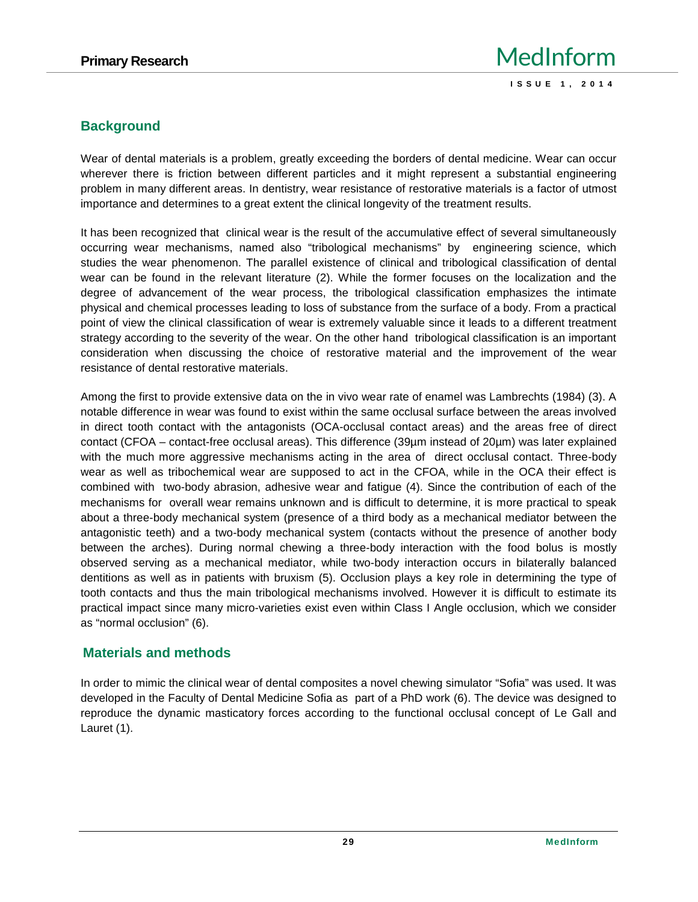## **Background**

Wear of dental materials is a problem, greatly exceeding the borders of dental medicine. Wear can occur wherever there is friction between different particles and it might represent a substantial engineering problem in many different areas. In dentistry, wear resistance of restorative materials is a factor of utmost importance and determines to a great extent the clinical longevity of the treatment results.

It has been recognized that clinical wear is the result of the accumulative effect of several simultaneously occurring wear mechanisms, named also "tribological mechanisms" by engineering science, which studies the wear phenomenon. The parallel existence of clinical and tribological classification of dental wear can be found in the relevant literature (2). While the former focuses on the localization and the degree of advancement of the wear process, the tribological classification emphasizes the intimate physical and chemical processes leading to loss of substance from the surface of a body. From a practical point of view the clinical classification of wear is extremely valuable since it leads to a different treatment strategy according to the severity of the wear. On the other hand tribological classification is an important consideration when discussing the choice of restorative material and the improvement of the wear resistance of dental restorative materials.

Among the first to provide extensive data on the in vivo wear rate of enamel was Lambrechts (1984) (3). A notable difference in wear was found to exist within the same occlusal surface between the areas involved in direct tooth contact with the antagonists (OCA-occlusal contact areas) and the areas free of direct contact (CFOA – contact-free occlusal areas). This difference (39µm instead of 20µm) was later explained with the much more aggressive mechanisms acting in the area of direct occlusal contact. Three-body wear as well as tribochemical wear are supposed to act in the CFOA, while in the OCA their effect is combined with two-body abrasion, adhesive wear and fatigue (4). Since the contribution of each of the mechanisms for overall wear remains unknown and is difficult to determine, it is more practical to speak about a three-body mechanical system (presence of a third body as a mechanical mediator between the antagonistic teeth) and a two-body mechanical system (contacts without the presence of another body between the arches). During normal chewing a three-body interaction with the food bolus is mostly observed serving as a mechanical mediator, while two-body interaction occurs in bilaterally balanced dentitions as well as in patients with bruxism (5). Occlusion plays a key role in determining the type of tooth contacts and thus the main tribological mechanisms involved. However it is difficult to estimate its practical impact since many micro-varieties exist even within Class I Angle occlusion, which we consider as "normal occlusion" (6).

## **Materials and methods**

In order to mimic the clinical wear of dental composites a novel chewing simulator "Sofia" was used. It was developed in the Faculty of Dental Medicine Sofia as part of a PhD work (6). The device was designed to reproduce the dynamic masticatory forces according to the functional occlusal concept of Le Gall and Lauret (1).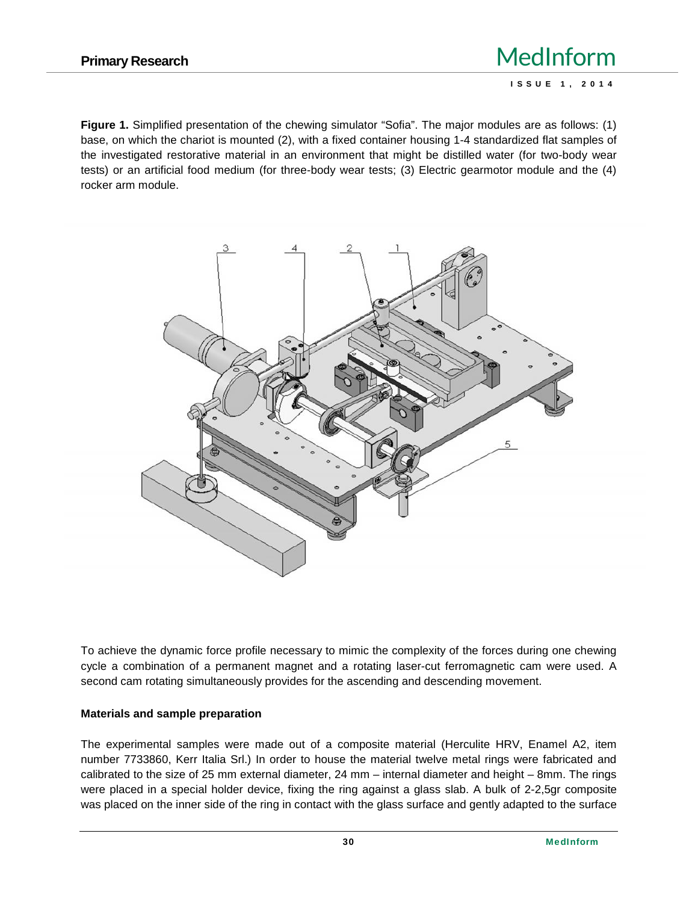**Figure 1.** Simplified presentation of the chewing simulator "Sofia". The major modules are as follows: (1) base, on which the chariot is mounted (2), with a fixed container housing 1-4 standardized flat samples of the investigated restorative material in an environment that might be distilled water (for two-body wear tests) or an artificial food medium (for three-body wear tests; (3) Electric gearmotor module and the (4) rocker arm module.



To achieve the dynamic force profile necessary to mimic the complexity of the forces during one chewing cycle a combination of a permanent magnet and a rotating laser-cut ferromagnetic cam were used. A second cam rotating simultaneously provides for the ascending and descending movement.

#### **Materials and sample preparation**

The experimental samples were made out of a composite material (Herculite HRV, Enamel A2, item number 7733860, Kerr Italia Srl.) In order to house the material twelve metal rings were fabricated and calibrated to the size of 25 mm external diameter, 24 mm – internal diameter and height – 8mm. The rings were placed in a special holder device, fixing the ring against a glass slab. A bulk of 2-2,5gr composite was placed on the inner side of the ring in contact with the glass surface and gently adapted to the surface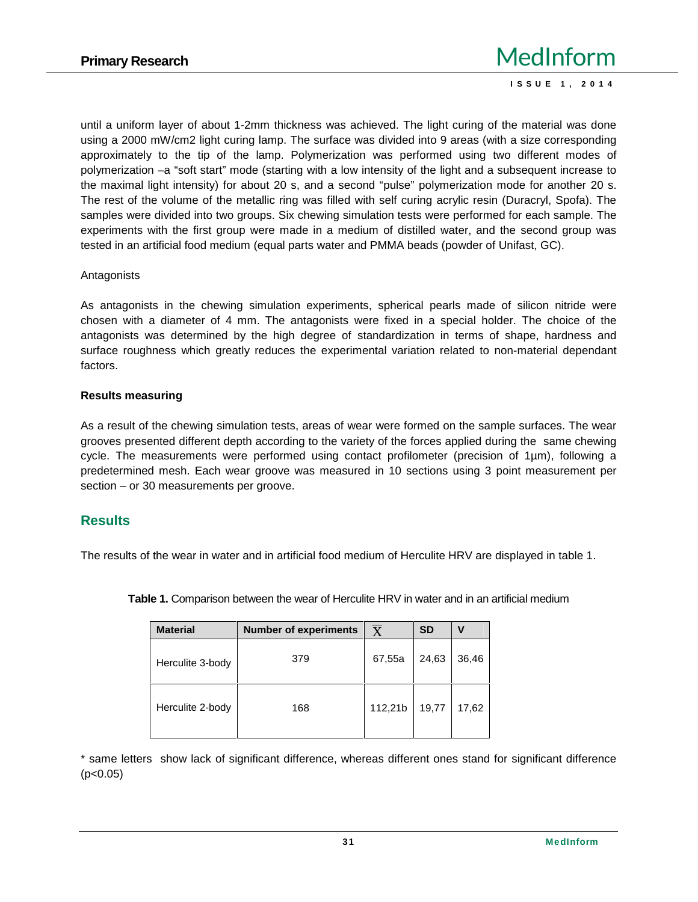until a uniform layer of about 1-2mm thickness was achieved. The light curing of the material was done using a 2000 mW/cm2 light curing lamp. The surface was divided into 9 areas (with a size corresponding approximately to the tip of the lamp. Polymerization was performed using two different modes of polymerization –a "soft start" mode (starting with a low intensity of the light and a subsequent increase to the maximal light intensity) for about 20 s, and a second "pulse" polymerization mode for another 20 s. The rest of the volume of the metallic ring was filled with self curing acrylic resin (Duracryl, Spofa). The samples were divided into two groups. Six chewing simulation tests were performed for each sample. The experiments with the first group were made in a medium of distilled water, and the second group was tested in an artificial food medium (equal parts water and PMMA beads (powder of Unifast, GC).

#### Antagonists

As antagonists in the chewing simulation experiments, spherical pearls made of silicon nitride were chosen with a diameter of 4 mm. The antagonists were fixed in a special holder. The choice of the antagonists was determined by the high degree of standardization in terms of shape, hardness and surface roughness which greatly reduces the experimental variation related to non-material dependant factors.

#### **Results measuring**

As a result of the chewing simulation tests, areas of wear were formed on the sample surfaces. The wear grooves presented different depth according to the variety of the forces applied during the same chewing cycle. The measurements were performed using contact profilometer (precision of 1µm), following a predetermined mesh. Each wear groove was measured in 10 sections using 3 point measurement per section – or 30 measurements per groove.

#### **Results**

The results of the wear in water and in artificial food medium of Herculite HRV are displayed in table 1.

| <b>Material</b>  | <b>Number of experiments</b> | $\overline{\text{X}}$ | <b>SD</b> | v     |
|------------------|------------------------------|-----------------------|-----------|-------|
| Herculite 3-body | 379                          | 67,55a                | 24,63     | 36,46 |
| Herculite 2-body | 168                          | 112,21b               | 19,77     | 17,62 |

**Table 1.** Comparison between the wear of Herculite HRV in water and in an artificial medium

\* same letters show lack of significant difference, whereas different ones stand for significant difference  $(p<0.05)$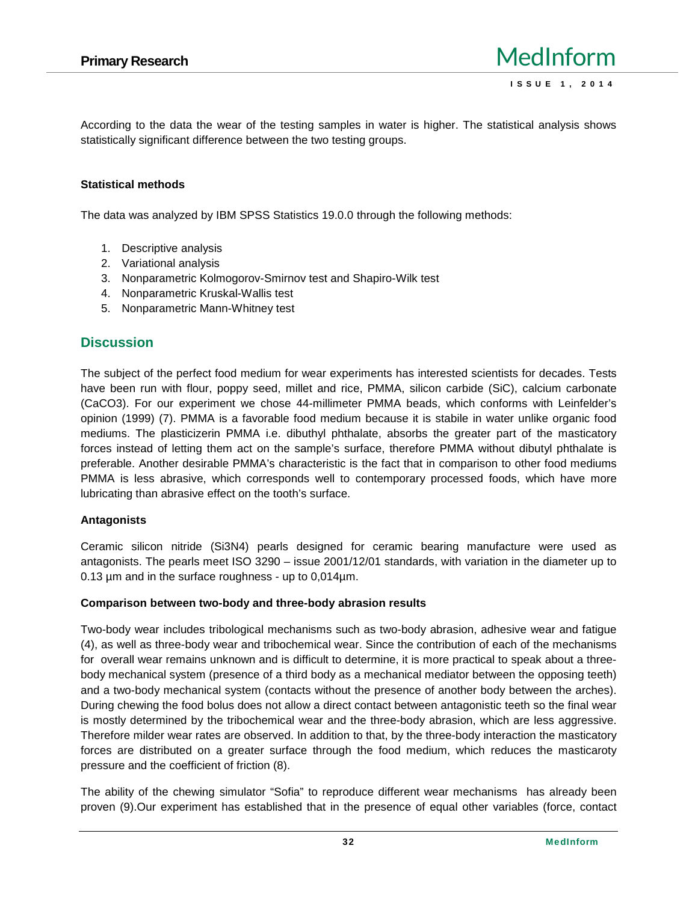According to the data the wear of the testing samples in water is higher. The statistical analysis shows statistically significant difference between the two testing groups.

#### **Statistical methods**

The data was analyzed by IBM SPSS Statistics 19.0.0 through the following methods:

- 1. Descriptive analysis
- 2. Variational analysis
- 3. Nonparametric Kolmogorov-Smirnov test and Shapiro-Wilk test
- 4. Nonparametric Kruskal-Wallis test
- 5. Nonparametric Mann-Whitney test

# **Discussion**

The subject of the perfect food medium for wear experiments has interested scientists for decades. Tests have been run with flour, poppy seed, millet and rice, PMMA, silicon carbide (SiC), calcium carbonate (CaCO3). For our experiment we chose 44-millimeter PMMA beads, which conforms with Leinfelder's opinion (1999) (7). PMMA is a favorable food medium because it is stabile in water unlike organic food mediums. The plasticizerin PMMA i.e. dibuthyl phthalate, absorbs the greater part of the masticatory forces instead of letting them act on the sample's surface, therefore PMMA without dibutyl phthalate is preferable. Another desirable PMMA's characteristic is the fact that in comparison to other food mediums PMMA is less abrasive, which corresponds well to contemporary processed foods, which have more lubricating than abrasive effect on the tooth's surface.

## **Antagonists**

Ceramic silicon nitride (Si3N4) pearls designed for ceramic bearing manufacture were used as antagonists. The pearls meet ISO 3290 – issue 2001/12/01 standards, with variation in the diameter up to 0.13 µm and in the surface roughness - up to 0,014µm.

#### **Comparison between two-body and three-body abrasion results**

Two-body wear includes tribological mechanisms such as two-body abrasion, adhesive wear and fatigue (4), as well as three-body wear and tribochemical wear. Since the contribution of each of the mechanisms for overall wear remains unknown and is difficult to determine, it is more practical to speak about a three body mechanical system (presence of a third body as a mechanical mediator between the opposing teeth) and a two-body mechanical system (contacts without the presence of another body between the arches). During chewing the food bolus does not allow a direct contact between antagonistic teeth so the final wear is mostly determined by the tribochemical wear and the three-body abrasion, which are less aggressive. Therefore milder wear rates are observed. In addition to that, by the three-body interaction the masticatory forces are distributed on a greater surface through the food medium, which reduces the masticaroty pressure and the coefficient of friction (8).

The ability of the chewing simulator "Sofia" to reproduce different wear mechanisms has already been proven (9).Our experiment has established that in the presence of equal other variables (force, contact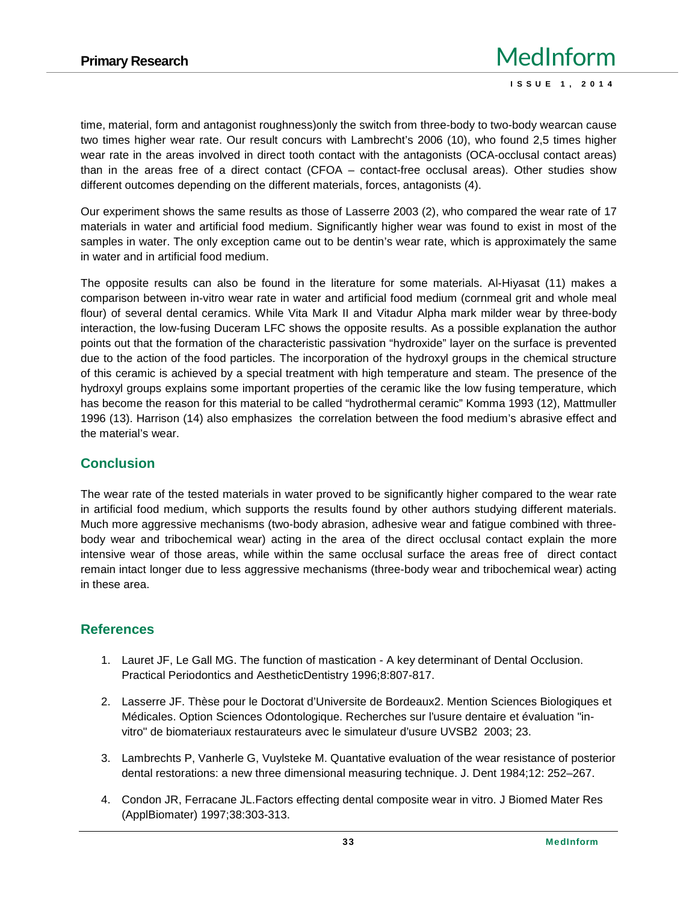time, material, form and antagonist roughness)only the switch from three-body to two-body wearcan cause two times higher wear rate. Our result concurs with Lambrecht's 2006 (10), who found 2,5 times higher wear rate in the areas involved in direct tooth contact with the antagonists (OCA-occlusal contact areas) than in the areas free of a direct contact (CFOA – contact-free occlusal areas). Other studies show different outcomes depending on the different materials, forces, antagonists (4).

Our experiment shows the same results as those of Lasserre 2003 (2), who compared the wear rate of 17 materials in water and artificial food medium. Significantly higher wear was found to exist in most of the samples in water. The only exception came out to be dentin's wear rate, which is approximately the same in water and in artificial food medium.

The opposite results can also be found in the literature for some materials. Al-Hiyasat (11) makes a comparison between in-vitro wear rate in water and artificial food medium (cornmeal grit and whole meal flour) of several dental ceramics. While Vita Mark II and Vitadur Alpha mark milder wear by three-body interaction, the low-fusing Duceram LFC shows the opposite results. As a possible explanation the author points out that the formation of the characteristic passivation "hydroxide" layer on the surface is prevented due to the action of the food particles. The incorporation of the hydroxyl groups in the chemical structure of this ceramic is achieved by a special treatment with high temperature and steam. The presence of the hydroxyl groups explains some important properties of the ceramic like the low fusing temperature, which has become the reason for this material to be called "hydrothermal ceramic" Komma 1993 (12), Mattmuller 1996 (13). Harrison (14) also emphasizes the correlation between the food medium's abrasive effect and the material's wear.

# **Conclusion**

The wear rate of the tested materials in water proved to be significantly higher compared to the wear rate in artificial food medium, which supports the results found by other authors studying different materials. Much more aggressive mechanisms (two-body abrasion, adhesive wear and fatigue combined with three body wear and tribochemical wear) acting in the area of the direct occlusal contact explain the more intensive wear of those areas, while within the same occlusal surface the areas free of direct contact remain intact longer due to less aggressive mechanisms (three-body wear and tribochemical wear) acting in these area.

# **References**

- 1. Lauret JF, Le Gall MG. The function of mastication A key determinant of Dental Occlusion. Practical Periodontics and AestheticDentistry 1996;8:807-817.
- 2. Lasserre JF. Thèse pour le Doctorat d'Universite de Bordeaux2. Mention Sciences Biologiques et Médicales. Option Sciences Odontologique. Recherches sur l'usure dentaire et évaluation "in vitro" de biomateriaux restaurateurs avec le simulateur d'usure UVSB2 2003; 23.
- 3. Lambrechts P, Vanherle G, Vuylsteke M. Quantative evaluation of the wear resistance of posterior dental restorations: a new three dimensional measuring technique. J. Dent 1984;12: 252–267.
- 4. Condon JR, Ferracane JL.Factors effecting dental composite wear in vitro. J Biomed Mater Res (ApplBiomater) 1997;38:303-313.